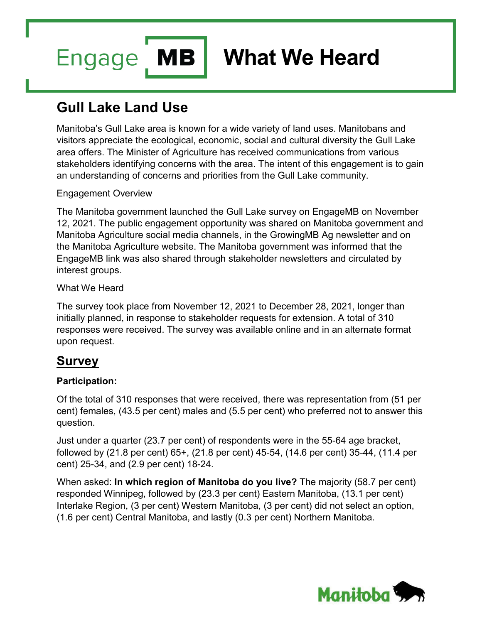**MB Engage** 

# **What We Heard**

# **Gull Lake Land Use**

Manitoba's Gull Lake area is known for a wide variety of land uses. Manitobans and visitors appreciate the ecological, economic, social and cultural diversity the Gull Lake area offers. The Minister of Agriculture has received communications from various stakeholders identifying concerns with the area. The intent of this engagement is to gain an understanding of concerns and priorities from the Gull Lake community.

# Engagement Overview

The Manitoba government launched the Gull Lake survey on EngageMB on November 12, 2021. The public engagement opportunity was shared on Manitoba government and Manitoba Agriculture social media channels, in the GrowingMB Ag newsletter and on the Manitoba Agriculture website. The Manitoba government was informed that the EngageMB link was also shared through stakeholder newsletters and circulated by interest groups.

### What We Heard

The survey took place from November 12, 2021 to December 28, 2021, longer than initially planned, in response to stakeholder requests for extension. A total of 310 responses were received. The survey was available online and in an alternate format upon request.

# **Survey**

# **Participation:**

Of the total of 310 responses that were received, there was representation from (51 per cent) females, (43.5 per cent) males and (5.5 per cent) who preferred not to answer this question.

Just under a quarter (23.7 per cent) of respondents were in the 55-64 age bracket, followed by (21.8 per cent) 65+, (21.8 per cent) 45-54, (14.6 per cent) 35-44, (11.4 per cent) 25-34, and (2.9 per cent) 18-24.

When asked: **In which region of Manitoba do you live?** The majority (58.7 per cent) responded Winnipeg, followed by (23.3 per cent) Eastern Manitoba, (13.1 per cent) Interlake Region, (3 per cent) Western Manitoba, (3 per cent) did not select an option, (1.6 per cent) Central Manitoba, and lastly (0.3 per cent) Northern Manitoba.

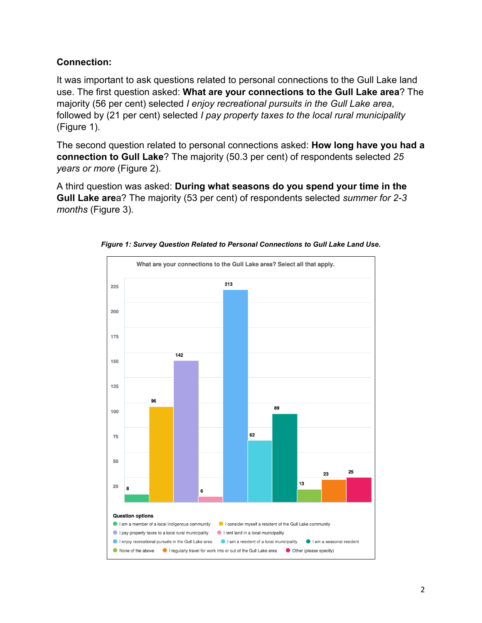# **Connection:**

It was important to ask questions related to personal connections to the Gull Lake land use. The first question asked: **What are your connections to the Gull Lake area**? The majority (56 per cent) selected *I enjoy recreational pursuits in the Gull Lake area*, followed by (21 per cent) selected *I pay property taxes to the local rural municipality*  (Figure 1).

The second question related to personal connections asked: **How long have you had a connection to Gull Lake**? The majority (50.3 per cent) of respondents selected *25 years or more* (Figure 2).

A third question was asked: **During what seasons do you spend your time in the Gull Lake are**a? The majority (53 per cent) of respondents selected *summer for 2-3 months* (Figure 3).



*Figure 1: Survey Question Related to Personal Connections to Gull Lake Land Use.*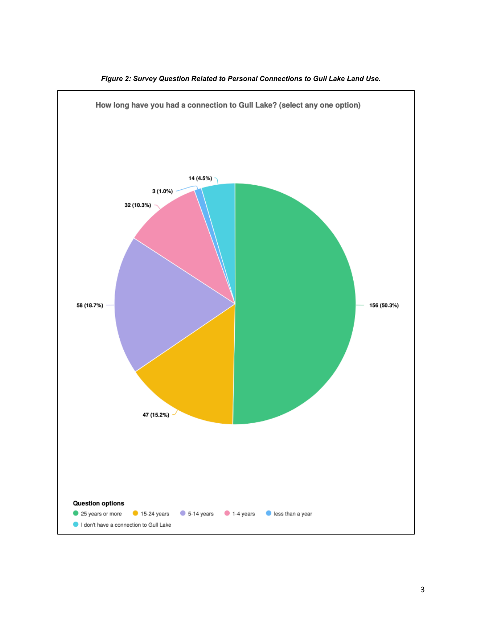

*Figure 2: Survey Question Related to Personal Connections to Gull Lake Land Use.*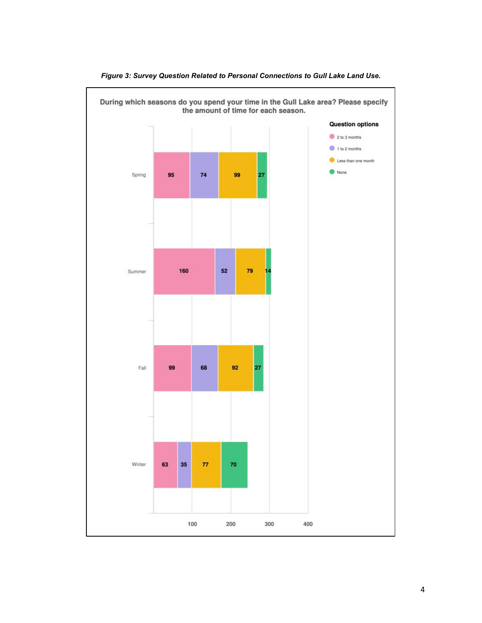

*Figure 3: Survey Question Related to Personal Connections to Gull Lake Land Use.*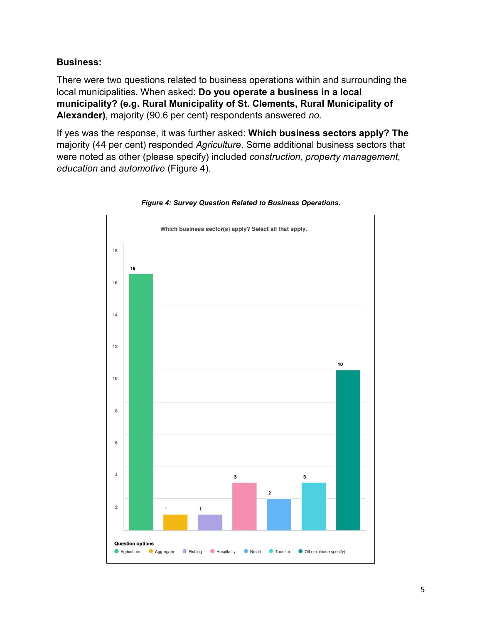### **Business:**

There were two questions related to business operations within and surrounding the local municipalities. When asked: **Do you operate a business in a local municipality? (e.g. Rural Municipality of St. Clements, Rural Municipality of Alexander)**, majority (90.6 per cent) respondents answered *no*.

If yes was the response, it was further asked: **Which business sectors apply? The** majority (44 per cent) responded *Agriculture*. Some additional business sectors that were noted as other (please specify) included *construction, property management, education* and *automotive* (Figure 4).



#### *Figure 4: Survey Question Related to Business Operations.*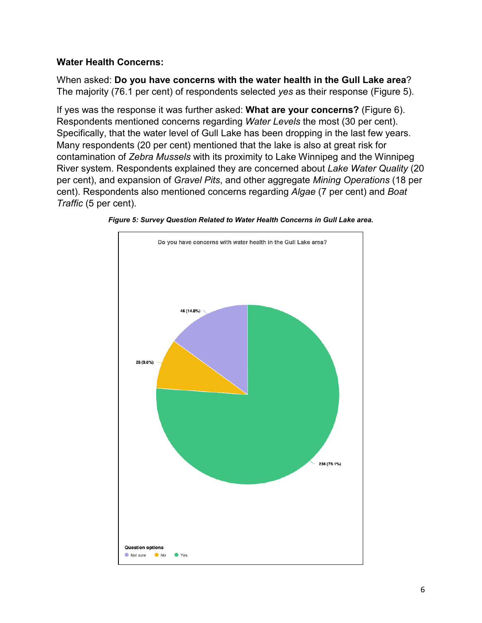# **Water Health Concerns:**

When asked: **Do you have concerns with the water health in the Gull Lake area**? The majority (76.1 per cent) of respondents selected *yes* as their response (Figure 5).

If yes was the response it was further asked: **What are your concerns?** (Figure 6). Respondents mentioned concerns regarding *Water Levels* the most (30 per cent). Specifically, that the water level of Gull Lake has been dropping in the last few years. Many respondents (20 per cent) mentioned that the lake is also at great risk for contamination of *Zebra Mussels* with its proximity to Lake Winnipeg and the Winnipeg River system. Respondents explained they are concerned about *Lake Water Quality* (20 per cent), and expansion of *Gravel Pits*, and other aggregate *Mining Operations* (18 per cent). Respondents also mentioned concerns regarding *Algae* (7 per cent) and *Boat Traffic* (5 per cent).



*Figure 5: Survey Question Related to Water Health Concerns in Gull Lake area.*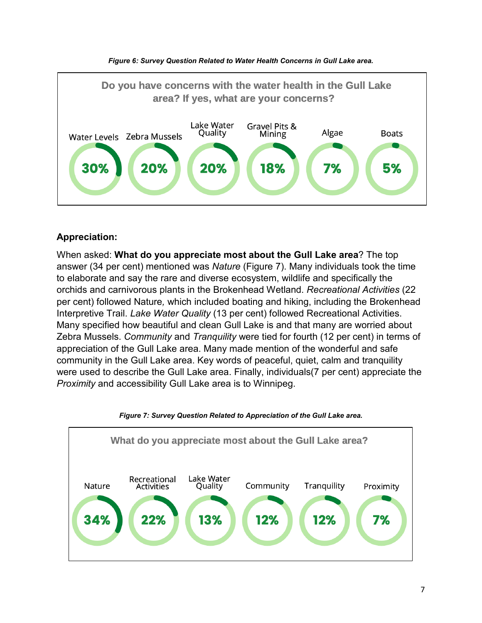



# **Appreciation:**

When asked: **What do you appreciate most about the Gull Lake area**? The top answer (34 per cent) mentioned was *Nature* (Figure 7). Many individuals took the time to elaborate and say the rare and diverse ecosystem, wildlife and specifically the orchids and carnivorous plants in the Brokenhead Wetland. *Recreational Activities* (22 per cent) followed Nature*,* which included boating and hiking, including the Brokenhead Interpretive Trail. *Lake Water Quality* (13 per cent) followed Recreational Activities. Many specified how beautiful and clean Gull Lake is and that many are worried about Zebra Mussels. *Community* and *Tranquility* were tied for fourth (12 per cent) in terms of appreciation of the Gull Lake area. Many made mention of the wonderful and safe community in the Gull Lake area. Key words of peaceful, quiet, calm and tranquility were used to describe the Gull Lake area. Finally, individuals(7 per cent) appreciate the *Proximity* and accessibility Gull Lake area is to Winnipeg.



#### *Figure 7: Survey Question Related to Appreciation of the Gull Lake area.*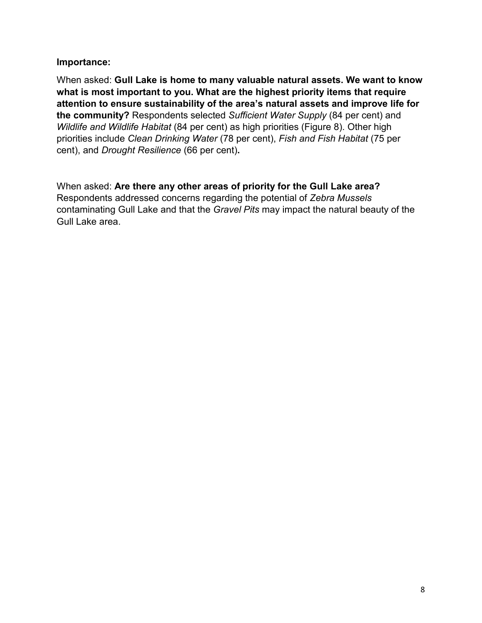### **Importance:**

When asked: **Gull Lake is home to many valuable natural assets. We want to know what is most important to you. What are the highest priority items that require attention to ensure sustainability of the area's natural assets and improve life for the community?** Respondents selected *Sufficient Water Supply* (84 per cent) and *Wildlife and Wildlife Habitat* (84 per cent) as high priorities (Figure 8). Other high priorities include *Clean Drinking Water* (78 per cent), *Fish and Fish Habitat* (75 per cent), and *Drought Resilience* (66 per cent)**.** 

When asked: **Are there any other areas of priority for the Gull Lake area?** Respondents addressed concerns regarding the potential of *Zebra Mussels* contaminating Gull Lake and that the *Gravel Pits* may impact the natural beauty of the Gull Lake area.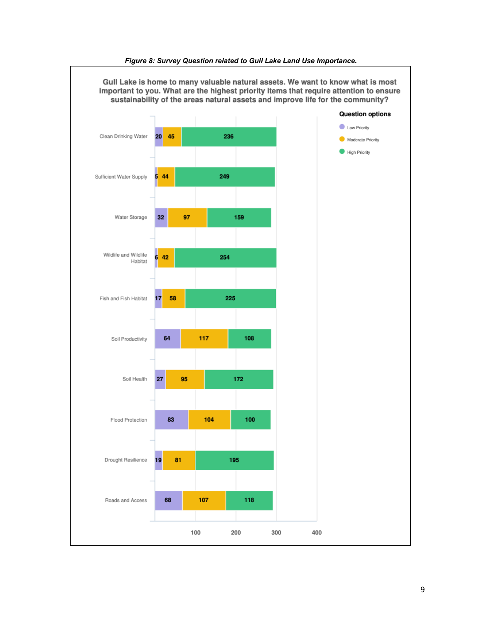

#### *Figure 8: Survey Question related to Gull Lake Land Use Importance.*